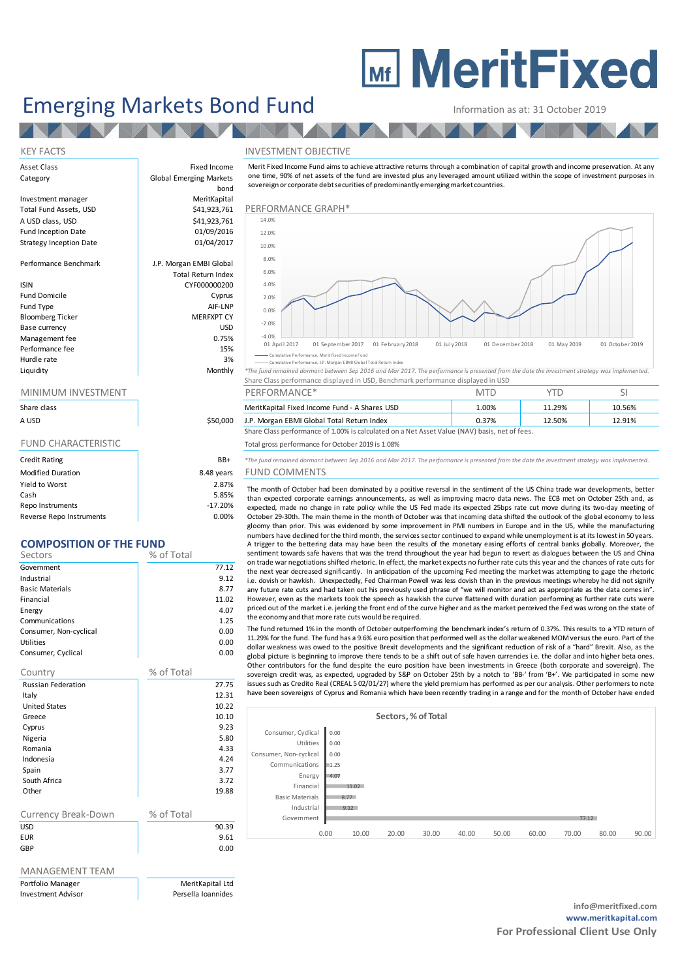# **MEDITY MeritFixed**

## Emerging Markets Bond Fund Information as at: 31 October 2019

**AZA** 

Fixed Income Global Emerging Markets

> Total Return Index CYF000000200 Cyprus

bond

| Asset Class |  |
|-------------|--|
| Category    |  |

## Investment manager MeritKapital A USD class, USD 6. 1999 6. 1.923,761 \$41,923,761 \$41,923,761  $\frac{541,923,761}{91/09/2016}$ Fund Inception Date Strategy Inception Date **12 a.m.** 01/04/2017

Performance Benchmark J.P. Morgan EMBI Global

| <b>ISIN</b>             | CYF000000200      |
|-------------------------|-------------------|
| <b>Fund Domicile</b>    | Cyprus            |
| Fund Type               | AIF-LNP           |
| <b>Bloomberg Ticker</b> | <b>MERFXPT CY</b> |
| Base currency           | <b>USD</b>        |
| Management fee          | 0.75%             |
| Performance fee         | 15%               |
| Hurdle rate             | 3%                |
| vtihiuni I              | Monthly           |

| Share class |  |
|-------------|--|
| A USD       |  |

| $BB+$      |
|------------|
| 8.48 years |
| 2.87%      |
| 5.85%      |
| $-17.20%$  |
| $0.00\%$   |
|            |

### **COMPOSITION OF THE FUND**

| Sectors                | % of Total |
|------------------------|------------|
| Government             | 77.12      |
| Industrial             | 9.12       |
| <b>Basic Materials</b> | 8.77       |
| Financial              | 11.02      |
| Energy                 | 4.07       |
| Communications         | 1.25       |
| Consumer, Non-cyclical | 0.00       |
| Utilities              | 0.00       |
| Consumer, Cyclical     | 0.00       |

| Country                   | % of Total |       |
|---------------------------|------------|-------|
| <b>Russian Federation</b> |            | 27.75 |
| Italy                     |            | 12.31 |
| <b>United States</b>      |            | 10.22 |
| Greece                    |            | 10.10 |
| Cyprus                    |            | 9.23  |
| Nigeria                   |            | 5.80  |
| Romania                   |            | 4.33  |
| Indonesia                 |            | 4.24  |
| Spain                     |            | 3.77  |
| South Africa              |            | 3.72  |
| Other                     |            | 19.88 |
|                           |            |       |
| Currency Break-Down       | % of Total |       |
| USD                       |            | 90.39 |

| <b>EUR</b> | 9.61 |
|------------|------|
| GBP        | 0.00 |

### MANAGEMENT TEAM

Portfolio Manager **MeritKapital Ltd** Investment Advisor **Persella Ioannides** 



Information as at: 31 October 2019<br>
NVESTMENT OBJECTIVE<br>
Merit Fixed Income Fund aims to achieve attractive returns through a combination of capital growth and income preservation. At any<br>
one time, 90% of net assets of th sovereign or corporate debt securities of predominantly emerging market countries.



Liquidity Monthly *\*The fund remained dormant between Sep 2016 and Mar 2017. The performance is presented from the date the investment strategy was implemented.* Share Class performance displayed in USD, Benchmark performance displayed in USD

| Share class   |          | <b>Shares USD</b><br>MeritKapital Fixed Income Fund - A | 00%،   | 11 29%<br>. | $  -$<br>LU.50% |
|---------------|----------|---------------------------------------------------------|--------|-------------|-----------------|
| <b>A IISN</b> | \$50,000 | Morgan FRMI Global Total Return Index<br>D 54           | 1 270. | 350%        | 0.10            |

A USD **1.P. Morgan EBMI Global Total Return Index** 10.37% 12.50% 12.50% 12.91% 12.91% 12.91% 12.91% 12.91% 12.91%<br>Share Class performance of 1.00% is calculated on a Net Asset Value (NAV) basis, net of fees.

### FUND CHARACTERISTIC TOTAL TOTAL TOTAL TOTAL TOTAL TOTAL TOTAL GROSS performance for October 2019 is 1.08%

Credit Rating BB+ *\*The fund remained dormant between Sep 2016 and Mar 2017. The performance is presented from the date the investment strategy was implemented.* s FUND COMMENTS

The month of October had been dominated by a positive reversal in the sentiment of the US China trade war developments, better than expected corporate earnings announcements, as well as improving macro data news. The ECB met on October 25th and, as expected gross performance for October 2019 is 1.08%<br>The fund remained dormant between Sep 2016 and Mar 2017. The performance is presented from the date the investment strategy was implemented.<br>"UND COMMENTS<br>The month of O October 29-30th. The main theme in the month of October was that incoming data shifted the outlook of the global economy to less<br>gloomy than prior. This was evidenced by some improvement in PMI numbers in Europe and in the The fund remained domant between Sep 2016 and Mar 2017. The performance is presented from the date the investment strategy was implemented.<br>
<br>
The month of October had been dominated by a positive reversal in the sentiment A trigger to the bettering data may have been the results of the monetary easing efforts of central banks globally. Moreover, the sentiment towards safe havens that was the trend throughout the year had begun to revert as dialogues between the US and China on trade war negotiations shifted rhetoric. In effect, the market expects no further rate cuts this year and the chances of rate cuts for<br>the next year decreased significantly. In anticipation of the upcoming Fed meeting t the next year decreased significantly. In anticipation of the upcoming Fed meeting the market was attempting to gage the rhetoric i.e. dovish or hawkish. Unexpectedly, Fed Chairman Powell was less dovish than in the previous meetings whereby he did not signify any future rate cuts and had taken out his previously used phrase of "we will monitor and act as appropriate as the data comes in". However, even as the markets took the speech as hawkish the curve flattened with duration performing as further rate cuts were priced out of the market i.e. jerking the front end of the curve higher and as the market perceived the Fed was wrong on the state of the economy and that more rate cuts would be required.

11.29% for the fund. The fund has a 9.6% euro position that performed well as the dollar weakened MOM versus the euro. Part of the dollar weakness was owed to the positive Brexit developments and the significant reduction of risk of a "hard" Brexit. Also, as the global picture is beginning to improve there tends to be a shift out of safe haven currencies i.e. the dollar and into higher beta ones. However, even as the markets took the speech as hawkish the curve flattened with duration performing as further rate cuts were priced out of the market i.e. jerking the front end of the cuve higher and as the market percei